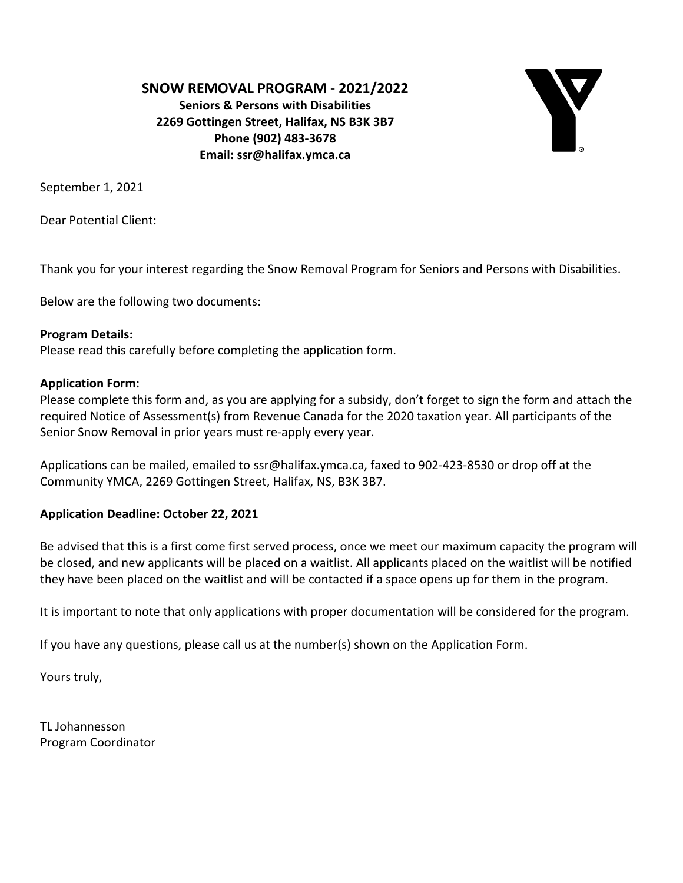**SNOW REMOVAL PROGRAM - 2021/2022**

**Seniors & Persons with Disabilities 2269 Gottingen Street, Halifax, NS B3K 3B7 Phone (902) 483-3678 Email: ssr@halifax.ymca.ca**



September 1, 2021

Dear Potential Client:

Thank you for your interest regarding the Snow Removal Program for Seniors and Persons with Disabilities.

Below are the following two documents:

#### **Program Details:**

Please read this carefully before completing the application form.

#### **Application Form:**

Please complete this form and, as you are applying for a subsidy, don't forget to sign the form and attach the required Notice of Assessment(s) from Revenue Canada for the 2020 taxation year. All participants of the Senior Snow Removal in prior years must re-apply every year.

Applications can be mailed, emailed to ssr@halifax.ymca.ca, faxed to 902-423-8530 or drop off at the Community YMCA, 2269 Gottingen Street, Halifax, NS, B3K 3B7.

#### **Application Deadline: October 22, 2021**

Be advised that this is a first come first served process, once we meet our maximum capacity the program will be closed, and new applicants will be placed on a waitlist. All applicants placed on the waitlist will be notified they have been placed on the waitlist and will be contacted if a space opens up for them in the program.

It is important to note that only applications with proper documentation will be considered for the program.

If you have any questions, please call us at the number(s) shown on the Application Form.

Yours truly,

TL Johannesson Program Coordinator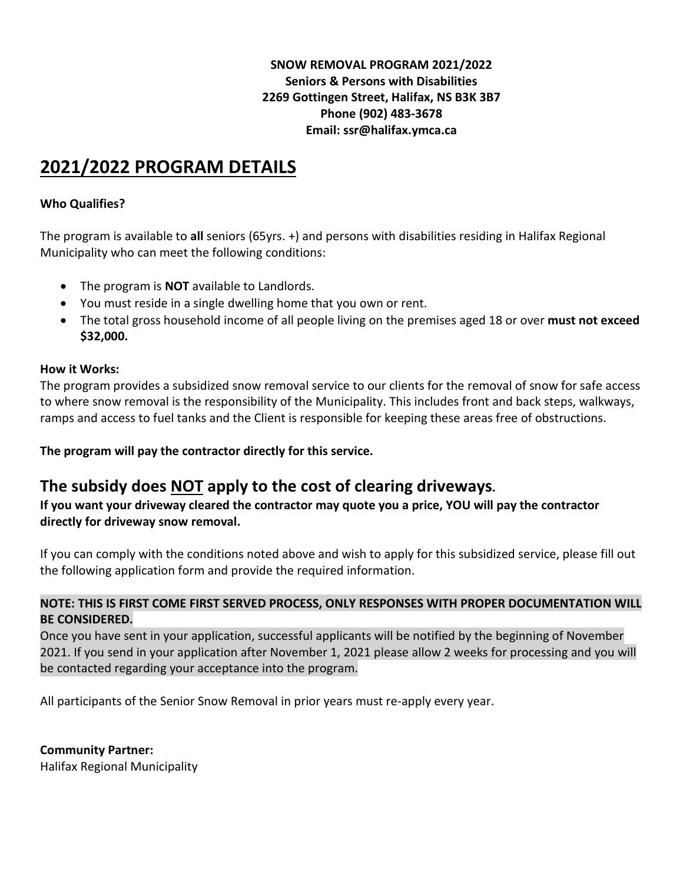### **SNOW REMOVAL PROGRAM 2021/2022 Seniors & Persons with Disabilities 2269 Gottingen Street, Halifax, NS B3K 3B7 Phone (902) 483-3678 Email: ssr@halifax.ymca.ca**

# **2021/2022 PROGRAM DETAILS**

### **Who Qualifies?**

The program is available to **all** seniors (65yrs. +) and persons with disabilities residing in Halifax Regional Municipality who can meet the following conditions:

- The program is **NOT** available to Landlords.
- You must reside in a single dwelling home that you own or rent.
- The total gross household income of all people living on the premises aged 18 or over **must not exceed \$32,000.**

#### **How it Works:**

The program provides a subsidized snow removal service to our clients for the removal of snow for safe access to where snow removal is the responsibility of the Municipality. This includes front and back steps, walkways, ramps and access to fuel tanks and the Client is responsible for keeping these areas free of obstructions.

**The program will pay the contractor directly for this service.**

# **The subsidy does NOT apply to the cost of clearing driveways.**

**If you want your driveway cleared the contractor may quote you a price, YOU will pay the contractor directly for driveway snow removal.**

If you can comply with the conditions noted above and wish to apply for this subsidized service, please fill out the following application form and provide the required information.

#### **NOTE: THIS IS FIRST COME FIRST SERVED PROCESS, ONLY RESPONSES WITH PROPER DOCUMENTATION WILL BE CONSIDERED.**

Once you have sent in your application, successful applicants will be notified by the beginning of November 2021. If you send in your application after November 1, 2021 please allow 2 weeks for processing and you will be contacted regarding your acceptance into the program.

All participants of the Senior Snow Removal in prior years must re-apply every year.

## **Community Partner:**

Halifax Regional Municipality